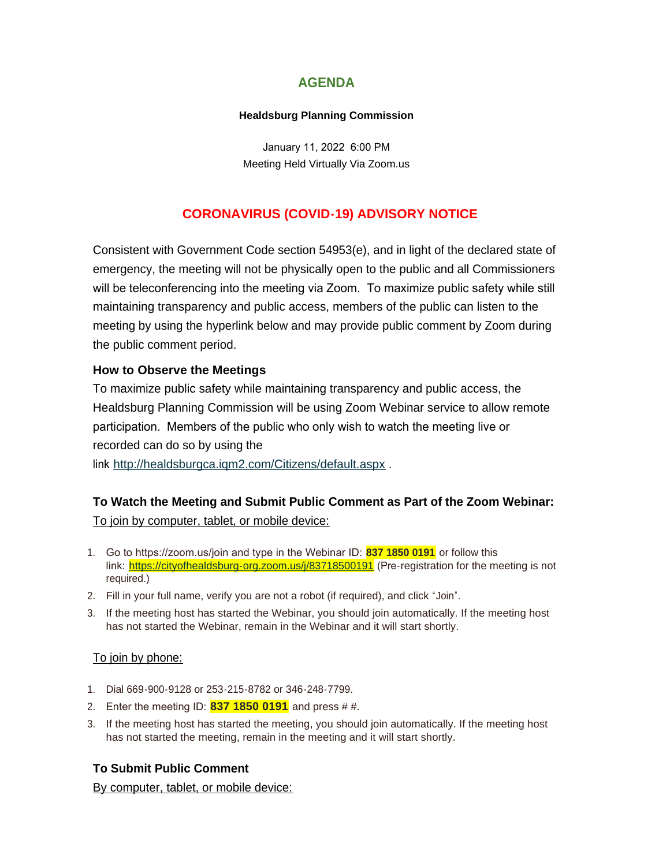# **AGENDA**

#### **Healdsburg Planning Commission**

January 11, 2022 6:00 PM Meeting Held Virtually Via Zoom.us

# **CORONAVIRUS (COVID-19) ADVISORY NOTICE**

Consistent with Government Code section 54953(e), and in light of the declared state of emergency, the meeting will not be physically open to the public and all Commissioners will be teleconferencing into the meeting via Zoom. To maximize public safety while still maintaining transparency and public access, members of the public can listen to the meeting by using the hyperlink below and may provide public comment by Zoom during the public comment period.

## **How to Observe the Meetings**

To maximize public safety while maintaining transparency and public access, the Healdsburg Planning Commission will be using Zoom Webinar service to allow remote participation. Members of the public who only wish to watch the meeting live or recorded can do so by using the

link <http://healdsburgca.iqm2.com/Citizens/default.aspx> .

# **To Watch the Meeting and Submit Public Comment as Part of the Zoom Webinar:**

To join by computer, tablet, or mobile device:

- 1. Go to https://zoom.us/join and type in the Webinar ID: **837 1850 0191** or follow this link: <https://cityofhealdsburg-org.zoom.us/j/83718500191> (Pre-registration for the meeting is not required.)
- 2. Fill in your full name, verify you are not a robot (if required), and click "Join".
- 3. If the meeting host has started the Webinar, you should join automatically. If the meeting host has not started the Webinar, remain in the Webinar and it will start shortly.

### To join by phone:

- 1. Dial 669-900-9128 or 253-215-8782 or 346-248-7799.
- 2. Enter the meeting ID: **837 1850 0191** and press # #.
- 3. If the meeting host has started the meeting, you should join automatically. If the meeting host has not started the meeting, remain in the meeting and it will start shortly.

## **To Submit Public Comment**

By computer, tablet, or mobile device: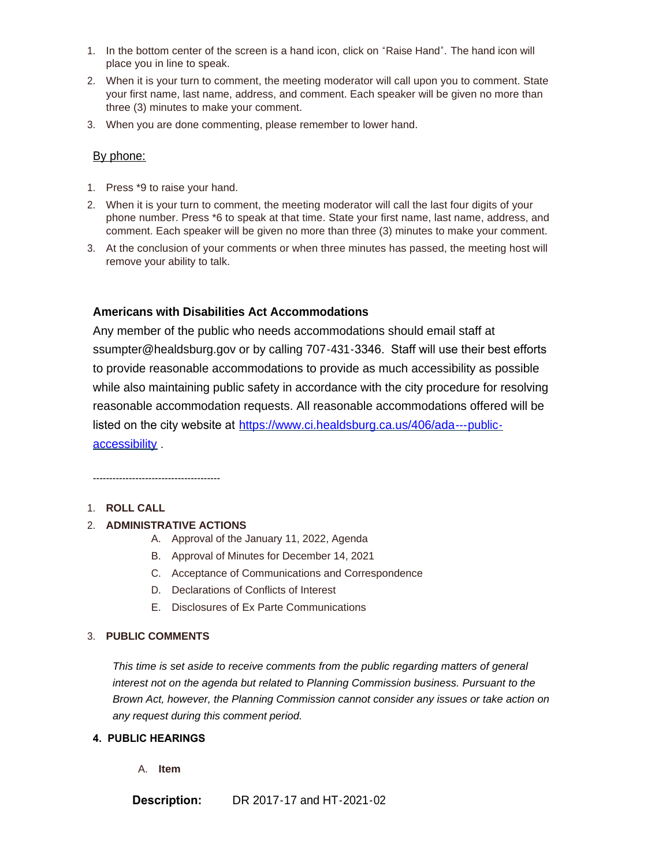- 1. In the bottom center of the screen is a hand icon, click on "Raise Hand". The hand icon will place you in line to speak.
- 2. When it is your turn to comment, the meeting moderator will call upon you to comment. State your first name, last name, address, and comment. Each speaker will be given no more than three (3) minutes to make your comment.
- 3. When you are done commenting, please remember to lower hand.

#### By phone:

- 1. Press \*9 to raise your hand.
- 2. When it is your turn to comment, the meeting moderator will call the last four digits of your phone number. Press \*6 to speak at that time. State your first name, last name, address, and comment. Each speaker will be given no more than three (3) minutes to make your comment.
- 3. At the conclusion of your comments or when three minutes has passed, the meeting host will remove your ability to talk.

#### **Americans with Disabilities Act Accommodations**

Any member of the public who needs accommodations should email staff at ssumpter@healdsburg.gov or by calling 707-431-3346. Staff will use their best efforts to provide reasonable accommodations to provide as much accessibility as possible while also maintaining public safety in accordance with the city procedure for resolving reasonable accommodation requests. All reasonable accommodations offered will be listed on the city website at https://www.ci.healdsburg.ca.us/406/ada---publicaccessibility .

---------------------------------------

#### 1. **ROLL CALL**

#### 2. **ADMINISTRATIVE ACTIONS**

- A. Approval of the January 11, 2022, Agenda
- B. Approval of Minutes for December 14, 2021
- C. Acceptance of Communications and Correspondence
- D. Declarations of Conflicts of Interest
- E. Disclosures of Ex Parte Communications

#### 3. **PUBLIC COMMENTS**

*This time is set aside to receive comments from the public regarding matters of general interest not on the agenda but related to Planning Commission business. Pursuant to the Brown Act, however, the Planning Commission cannot consider any issues or take action on any request during this comment period.*

#### **4. PUBLIC HEARINGS**

A. **Item**

**Description:** DR 2017-17 and HT-2021-02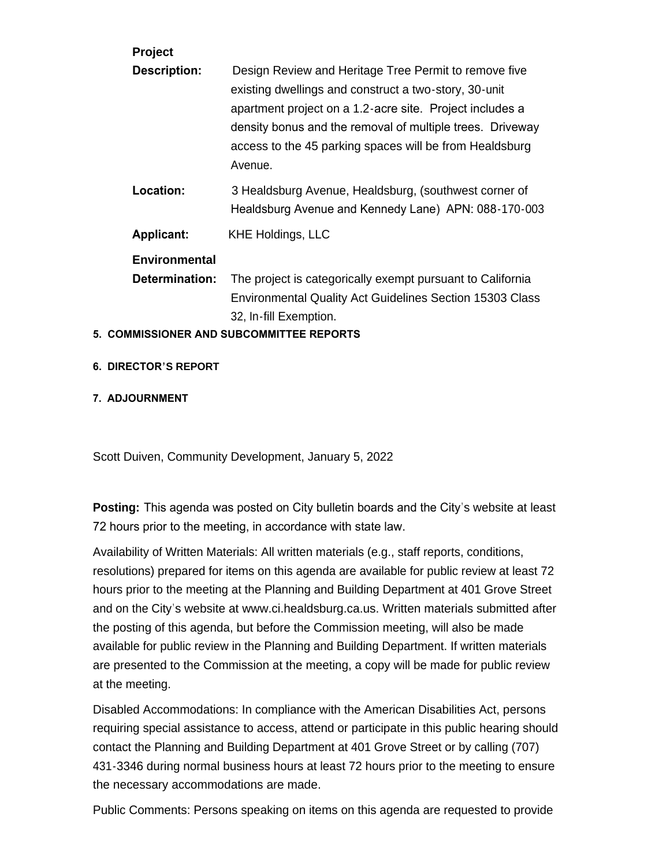| Project                                         |                                                                                                                                                                                                                                                                                                               |
|-------------------------------------------------|---------------------------------------------------------------------------------------------------------------------------------------------------------------------------------------------------------------------------------------------------------------------------------------------------------------|
| <b>Description:</b>                             | Design Review and Heritage Tree Permit to remove five<br>existing dwellings and construct a two-story, 30-unit<br>apartment project on a 1.2-acre site. Project includes a<br>density bonus and the removal of multiple trees. Driveway<br>access to the 45 parking spaces will be from Healdsburg<br>Avenue. |
| Location:                                       | 3 Healdsburg Avenue, Healdsburg, (southwest corner of<br>Healdsburg Avenue and Kennedy Lane) APN: 088-170-003                                                                                                                                                                                                 |
| <b>Applicant:</b>                               | <b>KHE Holdings, LLC</b>                                                                                                                                                                                                                                                                                      |
| <b>Environmental</b>                            |                                                                                                                                                                                                                                                                                                               |
| Determination:                                  | The project is categorically exempt pursuant to California                                                                                                                                                                                                                                                    |
|                                                 | Environmental Quality Act Guidelines Section 15303 Class                                                                                                                                                                                                                                                      |
|                                                 | 32, In-fill Exemption.                                                                                                                                                                                                                                                                                        |
| <b>5. COMMISSIONER AND SUBCOMMITTEE REPORTS</b> |                                                                                                                                                                                                                                                                                                               |

# **6. DIRECTOR'S REPORT**

#### **7. ADJOURNMENT**

Scott Duiven, Community Development, January 5, 2022

**Posting:** This agenda was posted on City bulletin boards and the City's website at least 72 hours prior to the meeting, in accordance with state law.

Availability of Written Materials: All written materials (e.g., staff reports, conditions, resolutions) prepared for items on this agenda are available for public review at least 72 hours prior to the meeting at the Planning and Building Department at 401 Grove Street and on the City's website at www.ci.healdsburg.ca.us. Written materials submitted after the posting of this agenda, but before the Commission meeting, will also be made available for public review in the Planning and Building Department. If written materials are presented to the Commission at the meeting, a copy will be made for public review at the meeting.

Disabled Accommodations: In compliance with the American Disabilities Act, persons requiring special assistance to access, attend or participate in this public hearing should contact the Planning and Building Department at 401 Grove Street or by calling (707) 431-3346 during normal business hours at least 72 hours prior to the meeting to ensure the necessary accommodations are made.

Public Comments: Persons speaking on items on this agenda are requested to provide